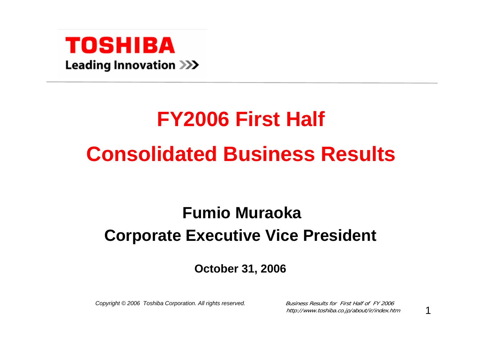

# **FY2006 First Half Consolidated Business Results**

# **Fumio MuraokaCorporate Executive Vice President**

#### **October 31, 2006**

*Copyright © 2006 Toshiba Corporation. All rights reserved.* Business Results for First Half of FY 2006

http://www.toshiba.co.jp/about/ir/index.htm

1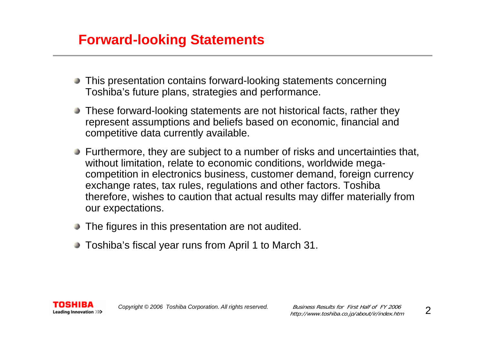#### **Forward-looking Statements**

- This presentation contains forward-looking statements concerning Toshiba's future plans, strategies and performance.
- These forward-looking statements are not historical facts, rather they represent assumptions and beliefs based on economic, financial and competitive data currently available.
- Furthermore, they are subject to a number of risks and uncertainties that, without limitation, relate to economic conditions, worldwide megacompetition in electronics business, customer demand, foreign currency exchange rates, tax rules, regulations and other factors. Toshiba therefore, wishes to caution that actual results may differ materially from our expectations.
- The figures in this presentation are not audited.
- Toshiba's fiscal year runs from April 1 to March 31.

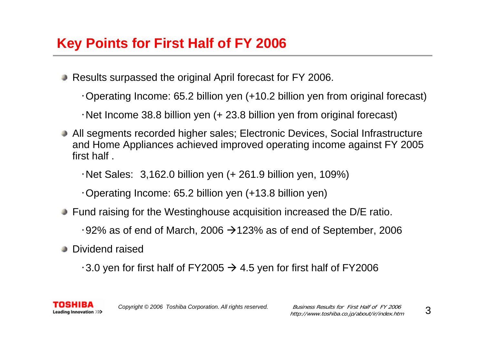# **Key Points for First Half of FY 2006**

- Results surpassed the original April forecast for FY 2006.
	- ・Operating Income: 65.2 billion yen (+10.2 billion yen from original forecast)
	- ・Net Income 38.8 billion yen (+ 23.8 billion yen from original forecast)
- All segments recorded higher sales; Electronic Devices, Social Infrastructure and Home Appliances achieved improved operating income against FY 2005 first half .
	- $\cdot$  Net Sales: 3,162.0 billion yen (+ 261.9 billion yen, 109%)
	- ・Operating Income: 65.2 billion yen (+13.8 billion yen)
- **Fund raising for the Westinghouse acquisition increased the D/E ratio.** 
	- $\cdot$ 92% as of end of March, 2006  $\rightarrow$ 123% as of end of September, 2006
- Dividend raised

Leading Innovation >>>

 $\cdot$ 3.0 yen for first half of FY2005  $\rightarrow$  4.5 yen for first half of FY2006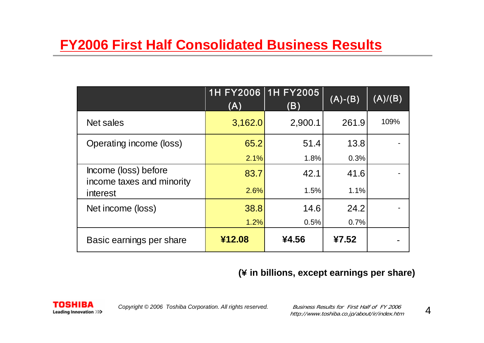|                                                               | (A)     | 1H FY2006 1H FY2005<br>(B) | $(A)-(B)$ | (A)/(B) |
|---------------------------------------------------------------|---------|----------------------------|-----------|---------|
| Net sales                                                     | 3,162.0 | 2,900.1                    | 261.9     | 109%    |
| Operating income (loss)                                       | 65.2    | 51.4                       | 13.8      |         |
|                                                               | 2.1%    | 1.8%                       | 0.3%      |         |
| Income (loss) before<br>income taxes and minority<br>interest | 83.7    | 42.1                       | 41.6      |         |
|                                                               | 2.6%    | 1.5%                       | 1.1%      |         |
| Net income (loss)                                             | 38.8    | 14.6                       | 24.2      |         |
|                                                               | 1.2%    | 0.5%                       | 0.7%      |         |
| Basic earnings per share                                      | ¥12.08  | ¥4.56                      | ¥7.52     |         |

#### **(**¥ **in billions, except earnings per share)**

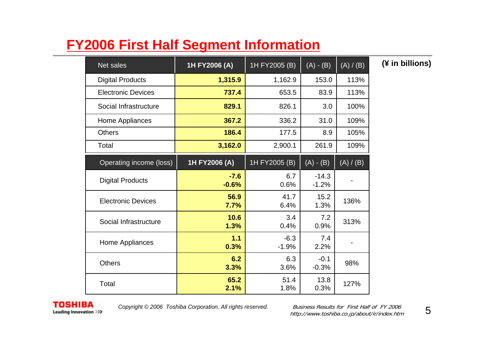# **FY2006 First Half Segment Information**

| Net sales                 | 1H FY2006 (A)     | 1H FY2005 (B)     | $(A) - (B)$        | (A) / (B) | (¥ in billions) |
|---------------------------|-------------------|-------------------|--------------------|-----------|-----------------|
| <b>Digital Products</b>   | 1,315.9           | 1,162.9           | 153.0              | 113%      |                 |
| <b>Electronic Devices</b> | 737.4             | 653.5             | 83.9               | 113%      |                 |
| Social Infrastructure     | 829.1             | 826.1             | 3.0                | 100%      |                 |
| Home Appliances           | 367.2             | 336.2             | 31.0               | 109%      |                 |
| <b>Others</b>             | 186.4             | 177.5             | 8.9                | 105%      |                 |
| Total                     | 3,162.0           | 2,900.1           | 261.9              | 109%      |                 |
| Operating income (loss)   | 1H FY2006 (A)     | 1H FY2005 (B)     | $(A) - (B)$        | (A) / (B) |                 |
| <b>Digital Products</b>   | $-7.6$<br>$-0.6%$ | 6.7<br>0.6%       | $-14.3$<br>$-1.2%$ |           |                 |
| <b>Electronic Devices</b> | 56.9<br>7.7%      | 41.7<br>6.4%      | 15.2<br>1.3%       | 136%      |                 |
| Social Infrastructure     | 10.6<br>1.3%      | 3.4<br>0.4%       | 7.2<br>0.9%        | 313%      |                 |
| Home Appliances           | 1.1<br>0.3%       | $-6.3$<br>$-1.9%$ | 7.4<br>2.2%        |           |                 |
| <b>Others</b>             | 6.2<br>3.3%       | 6.3<br>3.6%       | $-0.1$<br>$-0.3%$  | 98%       |                 |
| Total                     | 65.2<br>2.1%      | 51.4<br>1.8%      | 13.8<br>0.3%       | 127%      |                 |



*Copyright © 2006 Toshiba Corporation. All rights reserved.* Business Results for First Half of FY 2006

http://www.toshiba.co.jp/about/ir/index.htm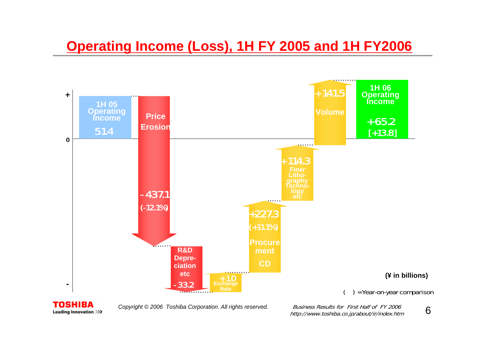#### **Operating Income (Loss), 1H FY 2005 and 1H FY2006**



TOSHIBA Leading Innovation >>>

*Copyright © 2006 Toshiba Corporation. All rights reserved.* Business Results for First Half of FY 2006

http://www.toshiba.co.jp/about/ir/index.htm

6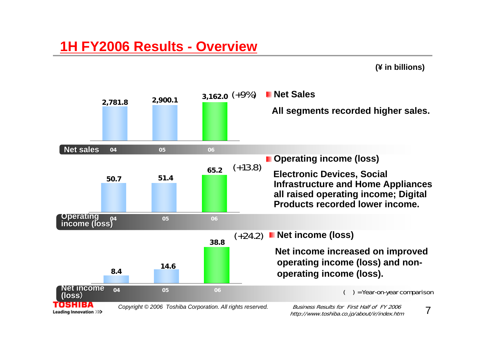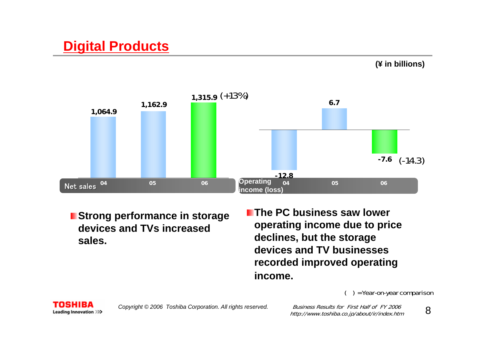# **Digital Products**





**Strong performance in storage devices and TVs increased sales.**

**The PC business saw lower operating income due to price declines, but the storage devices and TV businesses recorded improved operating income.**

#### ( ) = Year-on-year comparison

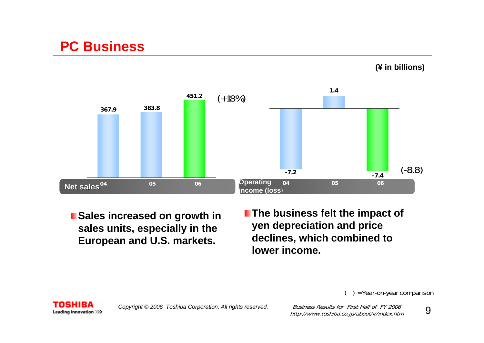#### **PC Business**





- **Sales increased on growth in sales units, especially in the European and U.S. markets.**
- **The business felt the impact of yen depreciation and price declines, which combined to lower income.**

( ) = Year-on-year comparison



http://www.toshiba.co.jp/about/ir/index.htm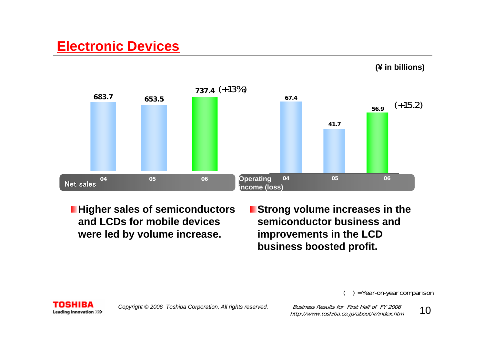#### **Electronic Devices**





**Higher sales of semiconductors and LCDs for mobile devices were led by volume increase.**

**Extrang volume increases in the semiconductor business and improvements in the LCD business boosted profit.**

( ) = Year-on-year comparison

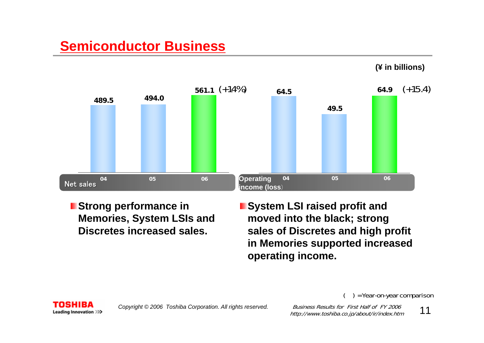# **Semiconductor Business**



- **Extrangement Strong performance in Memories, System LSIs and Discretes increased sales.**
- **System LSI raised profit and moved into the black; strong sales of Discretes and high profit in Memories supported increased operating income.**

( ) = Year-on-year comparison

**(¥ in billions)**

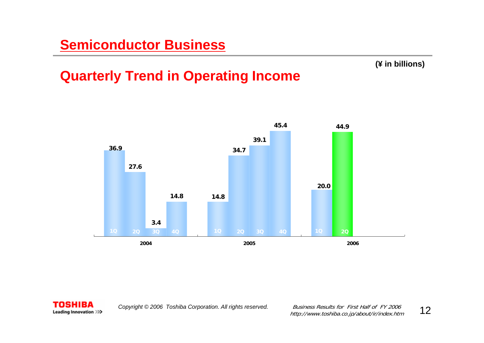#### **(¥ in billions)**

### **Quarterly Trend in Operating Income**



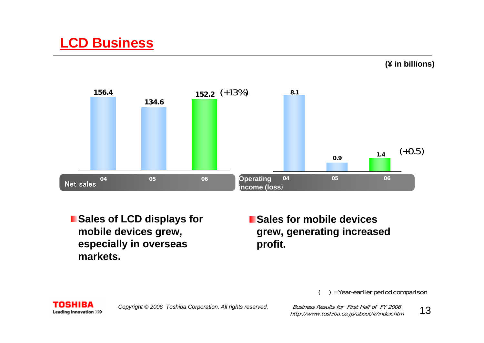**(¥ in billions)**



**I** Sales of LCD displays for **mobile devices grew, especially in overseas markets.**

**E** Sales for mobile devices **grew, generating increased profit.**

( ) = Year-earlier period comparison

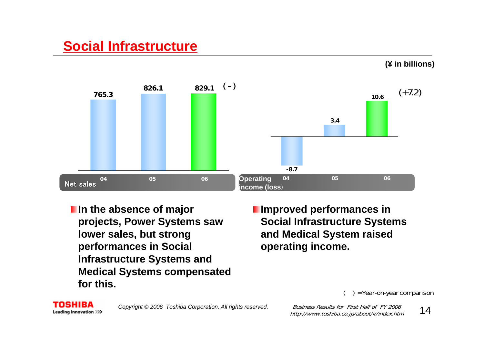## **Social Infrastructure**



- **I**In the absence of major **projects, Power Systems saw lower sales, but strong performances in Social Infrastructure Systems and Medical Systems compensated for this.**
- **I** Improved performances in **Social Infrastructure Systems and Medical System raised operating income.**

#### ( ) = Year-on-year comparison

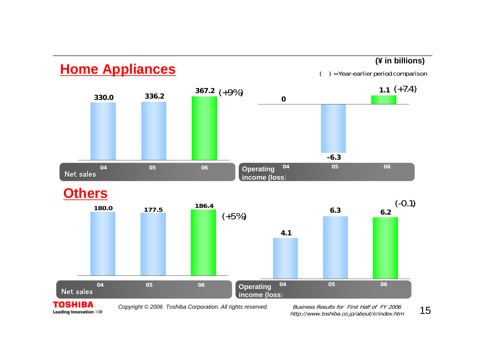

Leading Innovation >>>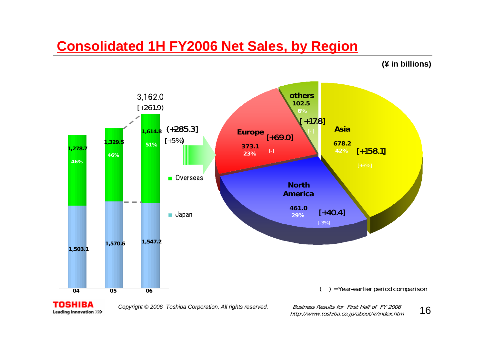#### **Consolidated 1H FY2006 Net Sales, by Region**

**(¥ in billions)**



*Copyright © 2006 Toshiba Corporation. All rights reserved.* Business Results for First Half of FY 2006

Leading Innovation >>>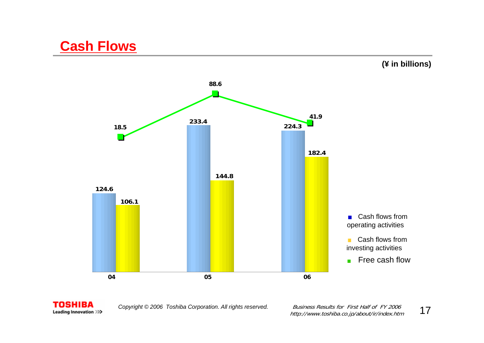



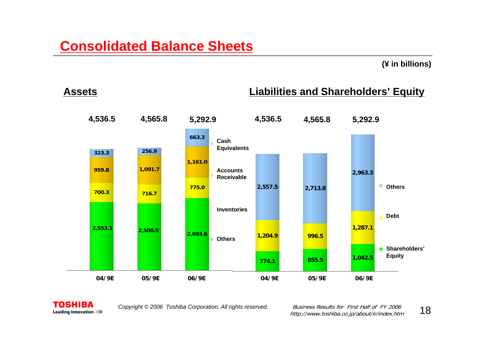#### **(¥ in billions)**

**Assets**

#### **Liabilities and Shareholders' Equity**





*Copyright © 2006 Toshiba Corporation. All rights reserved.* Business Results for First Half of FY 2006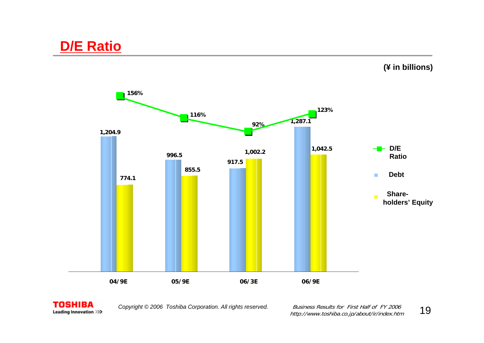





*Copyright © 2006 Toshiba Corporation. All rights reserved.* Business Results for First Half of FY 2006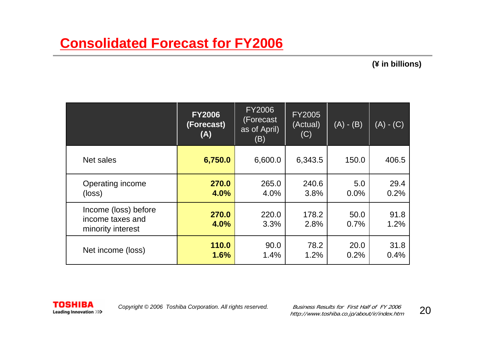|                                                               | <b>FY2006</b><br>(Forecast)<br>(A) | <b>FY2006</b><br>(Forecast<br>as of April)<br>(B) | <b>FY2005</b><br>(Actual)<br>(C) | $(A) - (B)$  | $(A) - (C)$  |
|---------------------------------------------------------------|------------------------------------|---------------------------------------------------|----------------------------------|--------------|--------------|
| Net sales                                                     | 6,750.0                            | 6,600.0                                           | 6,343.5                          | 150.0        | 406.5        |
| Operating income<br>(loss)                                    | 270.0<br>4.0%                      | 265.0<br>4.0%                                     | 240.6<br>3.8%                    | 5.0<br>0.0%  | 29.4<br>0.2% |
| Income (loss) before<br>income taxes and<br>minority interest | 270.0<br>4.0%                      | 220.0<br>3.3%                                     | 178.2<br>2.8%                    | 50.0<br>0.7% | 91.8<br>1.2% |
| Net income (loss)                                             | 110.0<br>1.6%                      | 90.0<br>1.4%                                      | 78.2<br>1.2%                     | 20.0<br>0.2% | 31.8<br>0.4% |

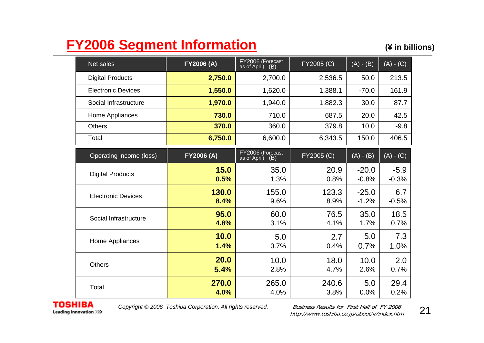# **FY2006 Segment Information** (\* in billions)

| <b>Net sales</b>          | <b>FY2006 (A)</b> | FY2006 (Forecast<br>as of April)<br>(B) | FY2005 (C)    | $(A) - (B)$        | $(A) - (C)$       |
|---------------------------|-------------------|-----------------------------------------|---------------|--------------------|-------------------|
| <b>Digital Products</b>   | 2,750.0           | 2,700.0                                 | 2,536.5       | 50.0               | 213.5             |
| <b>Electronic Devices</b> | 1,550.0           | 1,620.0                                 | 1,388.1       | $-70.0$            | 161.9             |
| Social Infrastructure     | 1,970.0           | 1,940.0                                 | 1,882.3       | 30.0               | 87.7              |
| Home Appliances           | 730.0             | 710.0                                   | 687.5         | 20.0               | 42.5              |
| <b>Others</b>             | 370.0             | 360.0                                   | 379.8         | 10.0               | $-9.8$            |
| Total                     | 6,750.0           | 6,600.0                                 | 6,343.5       | 150.0              | 406.5             |
| Operating income (loss)   | FY2006 (A)        | FY2006 (Forecast<br>(B)<br>as of April) | FY2005 (C)    | $(A) - (B)$        | $(A) - (C)$       |
| <b>Digital Products</b>   | 15.0<br>0.5%      | 35.0<br>1.3%                            | 20.9<br>0.8%  | $-20.0$<br>$-0.8%$ | $-5.9$<br>$-0.3%$ |
| <b>Electronic Devices</b> | 130.0<br>8.4%     | 155.0<br>9.6%                           | 123.3<br>8.9% | $-25.0$<br>$-1.2%$ | 6.7<br>$-0.5%$    |
| Social Infrastructure     | 95.0<br>4.8%      | 60.0<br>3.1%                            | 76.5<br>4.1%  | 35.0<br>1.7%       | 18.5<br>0.7%      |
| Home Appliances           | 10.0<br>1.4%      | 5.0<br>0.7%                             | 2.7<br>0.4%   | 5.0<br>0.7%        | 7.3<br>1.0%       |
| <b>Others</b>             | 20.0<br>5.4%      | 10.0<br>2.8%                            | 18.0<br>4.7%  | 10.0<br>2.6%       | 2.0<br>0.7%       |
| Total                     | 270.0<br>4.0%     | 265.0<br>4.0%                           | 240.6<br>3.8% | 5.0<br>0.0%        | 29.4<br>0.2%      |

**TOSHIBA** Leading Innovation >>>

*Copyright © 2006 Toshiba Corporation. All rights reserved.* Business Results for First Half of FY 2006